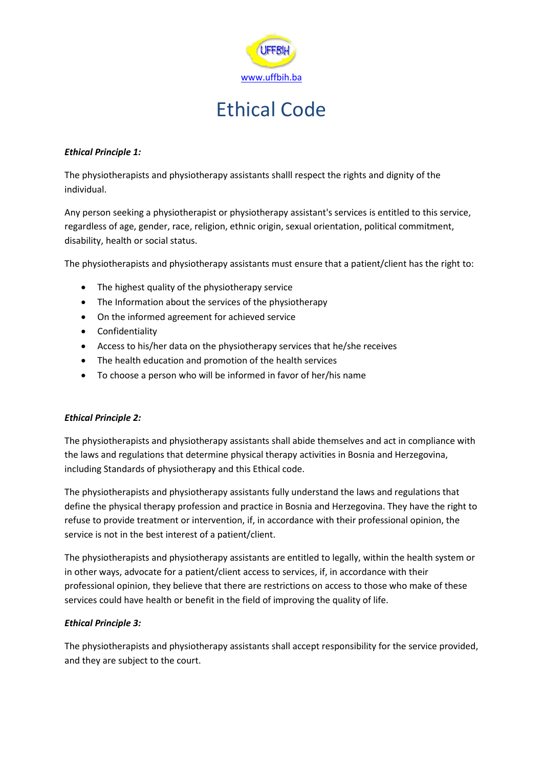

#### *Ethical Principle 1:*

The physiotherapists and physiotherapy assistants shalll respect the rights and dignity of the individual.

Any person seeking a physiotherapist or physiotherapy assistant's services is entitled to this service, regardless of age, gender, race, religion, ethnic origin, sexual orientation, political commitment, disability, health or social status.

The physiotherapists and physiotherapy assistants must ensure that a patient/client has the right to:

- The highest quality of the physiotherapy service
- The Information about the services of the physiotherapy
- On the informed agreement for achieved service
- Confidentiality
- Access to his/her data on the physiotherapy services that he/she receives
- The health education and promotion of the health services
- To choose a person who will be informed in favor of her/his name

## *Ethical Principle 2:*

The physiotherapists and physiotherapy assistants shall abide themselves and act in compliance with the laws and regulations that determine physical therapy activities in Bosnia and Herzegovina, including Standards of physiotherapy and this Ethical code.

The physiotherapists and physiotherapy assistants fully understand the laws and regulations that define the physical therapy profession and practice in Bosnia and Herzegovina. They have the right to refuse to provide treatment or intervention, if, in accordance with their professional opinion, the service is not in the best interest of a patient/client.

The physiotherapists and physiotherapy assistants are entitled to legally, within the health system or in other ways, advocate for a patient/client access to services, if, in accordance with their professional opinion, they believe that there are restrictions on access to those who make of these services could have health or benefit in the field of improving the quality of life.

## *Ethical Principle 3:*

The physiotherapists and physiotherapy assistants shall accept responsibility for the service provided, and they are subject to the court.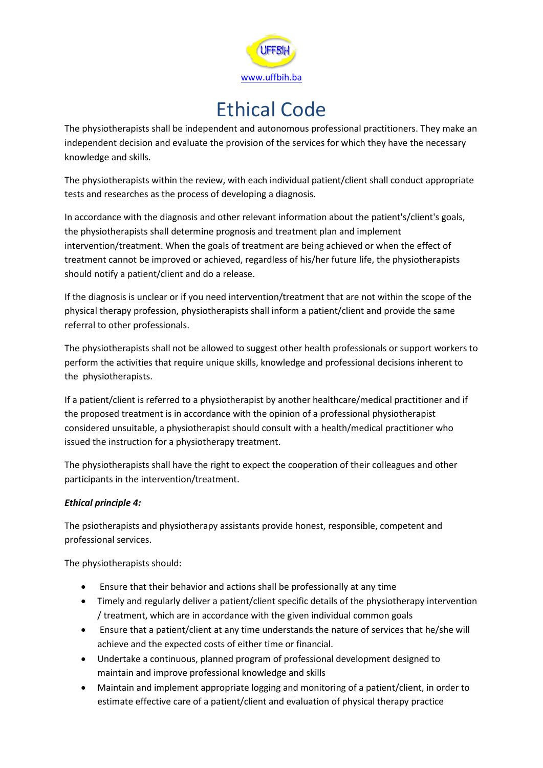

The physiotherapists shall be independent and autonomous professional practitioners. They make an independent decision and evaluate the provision of the services for which they have the necessary knowledge and skills.

The physiotherapists within the review, with each individual patient/client shall conduct appropriate tests and researches as the process of developing a diagnosis.

In accordance with the diagnosis and other relevant information about the patient's/client's goals, the physiotherapists shall determine prognosis and treatment plan and implement intervention/treatment. When the goals of treatment are being achieved or when the effect of treatment cannot be improved or achieved, regardless of his/her future life, the physiotherapists should notify a patient/client and do a release.

If the diagnosis is unclear or if you need intervention/treatment that are not within the scope of the physical therapy profession, physiotherapists shall inform a patient/client and provide the same referral to other professionals.

The physiotherapists shall not be allowed to suggest other health professionals or support workers to perform the activities that require unique skills, knowledge and professional decisions inherent to the physiotherapists.

If a patient/client is referred to a physiotherapist by another healthcare/medical practitioner and if the proposed treatment is in accordance with the opinion of a professional physiotherapist considered unsuitable, a physiotherapist should consult with a health/medical practitioner who issued the instruction for a physiotherapy treatment.

The physiotherapists shall have the right to expect the cooperation of their colleagues and other participants in the intervention/treatment.

## *Ethical principle 4:*

The psiotherapists and physiotherapy assistants provide honest, responsible, competent and professional services.

The physiotherapists should:

- Ensure that their behavior and actions shall be professionally at any time
- Timely and regularly deliver a patient/client specific details of the physiotherapy intervention / treatment, which are in accordance with the given individual common goals
- Ensure that a patient/client at any time understands the nature of services that he/she will achieve and the expected costs of either time or financial.
- Undertake a continuous, planned program of professional development designed to maintain and improve professional knowledge and skills
- Maintain and implement appropriate logging and monitoring of a patient/client, in order to estimate effective care of a patient/client and evaluation of physical therapy practice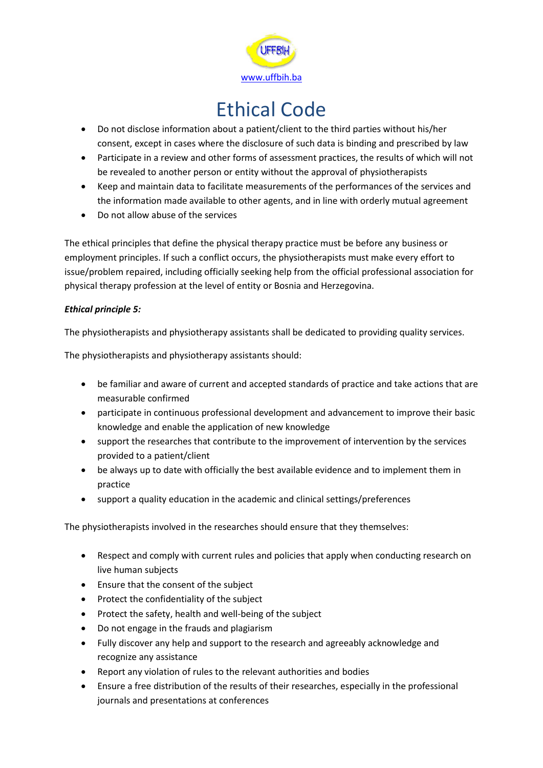

- Do not disclose information about a patient/client to the third parties without his/her consent, except in cases where the disclosure of such data is binding and prescribed by law
- Participate in a review and other forms of assessment practices, the results of which will not be revealed to another person or entity without the approval of physiotherapists
- Keep and maintain data to facilitate measurements of the performances of the services and the information made available to other agents, and in line with orderly mutual agreement
- Do not allow abuse of the services

The ethical principles that define the physical therapy practice must be before any business or employment principles. If such a conflict occurs, the physiotherapists must make every effort to issue/problem repaired, including officially seeking help from the official professional association for physical therapy profession at the level of entity or Bosnia and Herzegovina.

## *Ethical principle 5:*

The physiotherapists and physiotherapy assistants shall be dedicated to providing quality services.

The physiotherapists and physiotherapy assistants should:

- be familiar and aware of current and accepted standards of practice and take actions that are measurable confirmed
- participate in continuous professional development and advancement to improve their basic knowledge and enable the application of new knowledge
- support the researches that contribute to the improvement of intervention by the services provided to a patient/client
- be always up to date with officially the best available evidence and to implement them in practice
- support a quality education in the academic and clinical settings/preferences

The physiotherapists involved in the researches should ensure that they themselves:

- Respect and comply with current rules and policies that apply when conducting research on live human subjects
- Ensure that the consent of the subject
- Protect the confidentiality of the subject
- Protect the safety, health and well-being of the subject
- Do not engage in the frauds and plagiarism
- Fully discover any help and support to the research and agreeably acknowledge and recognize any assistance
- Report any violation of rules to the relevant authorities and bodies
- Ensure a free distribution of the results of their researches, especially in the professional journals and presentations at conferences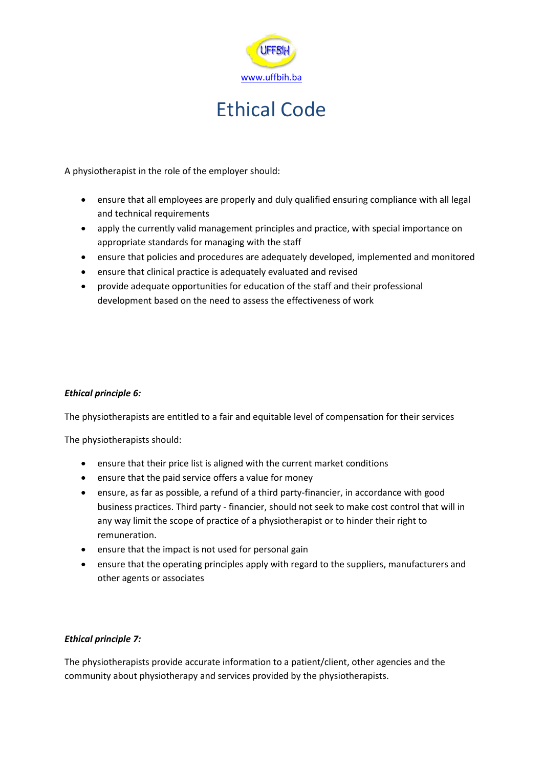

A physiotherapist in the role of the employer should:

- ensure that all employees are properly and duly qualified ensuring compliance with all legal and technical requirements
- apply the currently valid management principles and practice, with special importance on appropriate standards for managing with the staff
- ensure that policies and procedures are adequately developed, implemented and monitored
- ensure that clinical practice is adequately evaluated and revised
- provide adequate opportunities for education of the staff and their professional development based on the need to assess the effectiveness of work

## *Ethical principle 6:*

The physiotherapists are entitled to a fair and equitable level of compensation for their services

The physiotherapists should:

- ensure that their price list is aligned with the current market conditions
- ensure that the paid service offers a value for money
- ensure, as far as possible, a refund of a third party-financier, in accordance with good business practices. Third party - financier, should not seek to make cost control that will in any way limit the scope of practice of a physiotherapist or to hinder their right to remuneration.
- ensure that the impact is not used for personal gain
- ensure that the operating principles apply with regard to the suppliers, manufacturers and other agents or associates

## *Ethical principle 7:*

The physiotherapists provide accurate information to a patient/client, other agencies and the community about physiotherapy and services provided by the physiotherapists.